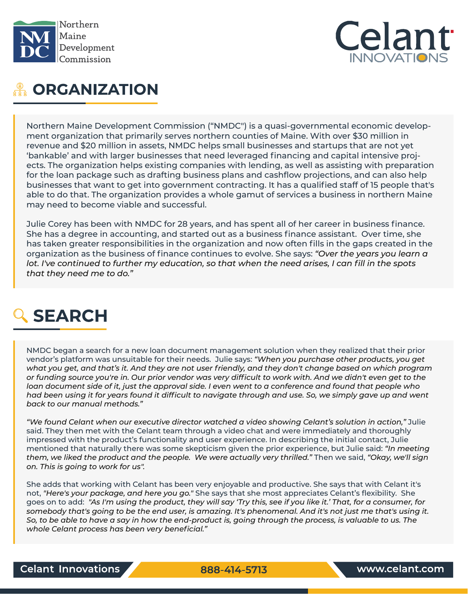



# **ORGANIZATION**

Northern Maine Development Commission ("NMDC") is a quasi-governmental economic development organization that primarily serves northern counties of Maine. With over \$30 million in revenue and \$20 million in assets, NMDC helps small businesses and startups that are not yet 'bankable' and with larger businesses that need leveraged financing and capital intensive projects. The organization helps existing companies with lending, as well as assisting with preparation for the loan package such as drafting business plans and cashflow projections, and can also help businesses that want to get into government contracting. It has a qualified staff of 15 people that's able to do that. The organization provides a whole gamut of services a business in northern Maine may need to become viable and successful.

Julie Corey has been with NMDC for 28 years, and has spent all of her career in business finance. She has a degree in accounting, and started out as a business finance assistant. Over time, she has taken greater responsibilities in the organization and now often fills in the gaps created in the organization as the business of finance continues to evolve. She says: *"Over the years you learn a lot. I've continued to further my education, so that when the need arises, I can fill in the spots that they need me to do."*

# SEARCH

NMDC began a search for a new loan document management solution when they realized that their prior vendor's platform was unsuitable for their needs. Julie says: *"When you purchase other products, you get what you get, and that's it. And they are not user friendly, and they don't change based on which program or funding source you're in. Our prior vendor was very difficult to work with. And we didn't even get to the loan document side of it, just the approval side. I even went to a conference and found that people who had been using it for years found it difficult to navigate through and use. So, we simply gave up and went back to our manual methods."*

*"We found Celant when our executive director watched a video showing Celant's solution in action,"* Julie said. They then met with the Celant team through a video chat and were immediately and thoroughly impressed with the product's functionality and user experience. In describing the initial contact, Julie mentioned that naturally there was some skepticism given the prior experience, but Julie said: *"In meeting them, we liked the product and the people. We were actually very thrilled."* Then we said, *"Okay, we'll sign on. This is going to work for us".* 

She adds that working with Celant has been very enjoyable and productive. She says that with Celant it's not, *"Here's your package, and here you go."* She says that she most appreciates Celant's flexibility. She goes on to add: *"As I'm using the product, they will say 'Try this, see if you like it.' That, for a consumer, for somebody that's going to be the end user, is amazing. It's phenomenal. And it's not just me that's using it. So, to be able to have a say in how the end-product is, going through the process, is valuable to us. The whole Celant process has been very beneficial."*

888-414-5713